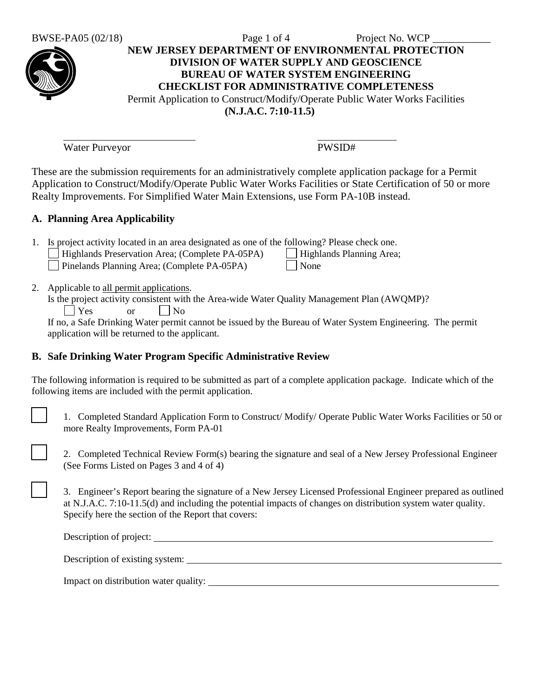## BWSE-PA05  $(02/18)$  Page 1 of 4 Project No. WCP **NEW JERSEY DEPARTMENT OF ENVIRONMENTAL PROTECTION DIVISION OF WATER SUPPLY AND GEOSCIENCE BUREAU OF WATER SYSTEM ENGINEERING CHECKLIST FOR ADMINISTRATIVE COMPLETENESS** Permit Application to Construct/Modify/Operate Public Water Works Facilities **(N.J.A.C. 7:10-11.5)**

Water Purveyor PWSID#

These are the submission requirements for an administratively complete application package for a Permit Application to Construct/Modify/Operate Public Water Works Facilities or State Certification of 50 or more Realty Improvements. For Simplified Water Main Extensions, use Form PA-10B instead.

# **A. Planning Area Applicability**

| 1. Is project activity located in an area designated as one of the following? Please check one. |  |                                                                                                                                                                                                                                   |  |  |  |  |  |  |                           |  |
|-------------------------------------------------------------------------------------------------|--|-----------------------------------------------------------------------------------------------------------------------------------------------------------------------------------------------------------------------------------|--|--|--|--|--|--|---------------------------|--|
|                                                                                                 |  | $\frac{1}{2}$ . The contract of the contract of the contract of the contract of the contract of the contract of the contract of the contract of the contract of the contract of the contract of the contract of the contract of t |  |  |  |  |  |  | $\Box$ with $\Box$ $\Box$ |  |

| Highlands Preservation Area; (Complete PA-05PA) | Highlands Planning Area; Pinelands Planning Area; (Complete PA-05PA) Mone

- 2. Applicable to all permit applications.
	- Is the project activity consistent with the Area-wide Water Quality Management Plan (AWQMP)?  $|$   $|$   $Y$ es or  $|$   $|$   $N$ o

If no, a Safe Drinking Water permit cannot be issued by the Bureau of Water System Engineering. The permit application will be returned to the applicant.

# **B. Safe Drinking Water Program Specific Administrative Review**

The following information is required to be submitted as part of a complete application package. Indicate which of the following items are included with the permit application.

1. Completed Standard Application Form to Construct/ Modify/ Operate Public Water Works Facilities or 50 or more Realty Improvements, Form PA-01

2. Completed Technical Review Form(s) bearing the signature and seal of a New Jersey Professional Engineer (See Forms Listed on Pages 3 and 4 of 4)

3. Engineer's Report bearing the signature of a New Jersey Licensed Professional Engineer prepared as outlined at N.J.A.C. 7:10-11.5(d) and including the potential impacts of changes on distribution system water quality. Specify here the section of the Report that covers:

| Description of project: |  |
|-------------------------|--|
|-------------------------|--|

| Description of existing system: |
|---------------------------------|
|---------------------------------|

Impact on distribution water quality: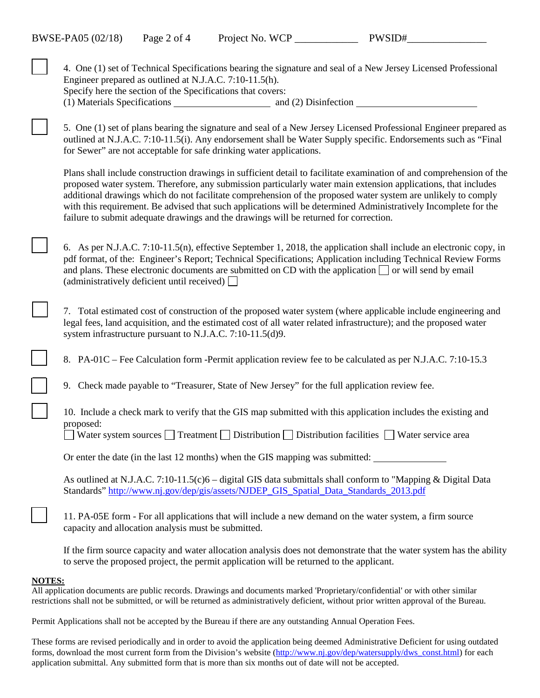| 4. One (1) set of Technical Specifications bearing the signature and seal of a New Jersey Licensed Professional<br>Engineer prepared as outlined at N.J.A.C. 7:10-11.5(h).<br>Specify here the section of the Specifications that covers:                                                                                                                                                                                                                                                                                                                           |
|---------------------------------------------------------------------------------------------------------------------------------------------------------------------------------------------------------------------------------------------------------------------------------------------------------------------------------------------------------------------------------------------------------------------------------------------------------------------------------------------------------------------------------------------------------------------|
|                                                                                                                                                                                                                                                                                                                                                                                                                                                                                                                                                                     |
| 5. One (1) set of plans bearing the signature and seal of a New Jersey Licensed Professional Engineer prepared as<br>outlined at N.J.A.C. 7:10-11.5(i). Any endorsement shall be Water Supply specific. Endorsements such as "Final<br>for Sewer" are not acceptable for safe drinking water applications.                                                                                                                                                                                                                                                          |
| Plans shall include construction drawings in sufficient detail to facilitate examination of and comprehension of the<br>proposed water system. Therefore, any submission particularly water main extension applications, that includes<br>additional drawings which do not facilitate comprehension of the proposed water system are unlikely to comply<br>with this requirement. Be advised that such applications will be determined Administratively Incomplete for the<br>failure to submit adequate drawings and the drawings will be returned for correction. |
| 6. As per N.J.A.C. 7:10-11.5(n), effective September 1, 2018, the application shall include an electronic copy, in<br>pdf format, of the: Engineer's Report; Technical Specifications; Application including Technical Review Forms<br>and plans. These electronic documents are submitted on CD with the application or will send by email<br>(administratively deficient until received) $\Box$                                                                                                                                                                   |
| 7. Total estimated cost of construction of the proposed water system (where applicable include engineering and<br>legal fees, land acquisition, and the estimated cost of all water related infrastructure); and the proposed water<br>system infrastructure pursuant to N.J.A.C. 7:10-11.5(d)9.                                                                                                                                                                                                                                                                    |
| 8. PA-01C – Fee Calculation form -Permit application review fee to be calculated as per N.J.A.C. 7:10-15.3                                                                                                                                                                                                                                                                                                                                                                                                                                                          |
| Check made payable to "Treasurer, State of New Jersey" for the full application review fee.<br>9.                                                                                                                                                                                                                                                                                                                                                                                                                                                                   |
| 10. Include a check mark to verify that the GIS map submitted with this application includes the existing and<br>proposed:                                                                                                                                                                                                                                                                                                                                                                                                                                          |
| Water system sources $\Box$ Treatment $\Box$ Distribution $\Box$ Distribution facilities $\Box$ Water service area                                                                                                                                                                                                                                                                                                                                                                                                                                                  |
| Or enter the date (in the last 12 months) when the GIS mapping was submitted:                                                                                                                                                                                                                                                                                                                                                                                                                                                                                       |
| As outlined at N.J.A.C. 7:10-11.5(c)6 – digital GIS data submittals shall conform to "Mapping & Digital Data<br>Standards" http://www.nj.gov/dep/gis/assets/NJDEP_GIS_Spatial_Data_Standards_2013.pdf                                                                                                                                                                                                                                                                                                                                                               |
| 11. PA-05E form - For all applications that will include a new demand on the water system, a firm source<br>capacity and allocation analysis must be submitted.                                                                                                                                                                                                                                                                                                                                                                                                     |
| If the firm source capacity and water allocation analysis does not demonstrate that the water system has the ability<br>to serve the proposed project, the permit application will be returned to the applicant.                                                                                                                                                                                                                                                                                                                                                    |

#### **NOTES:**

All application documents are public records. Drawings and documents marked 'Proprietary/confidential' or with other similar restrictions shall not be submitted, or will be returned as administratively deficient, without prior written approval of the Bureau.

Permit Applications shall not be accepted by the Bureau if there are any outstanding Annual Operation Fees.

These forms are revised periodically and in order to avoid the application being deemed Administrative Deficient for using outdated forms, download the most current form from the Division's website [\(http://www.nj.gov/dep/watersupply/dws\\_const.html\)](http://www.nj.gov/dep/watersupply/dws_const.html) for each application submittal. Any submitted form that is more than six months out of date will not be accepted.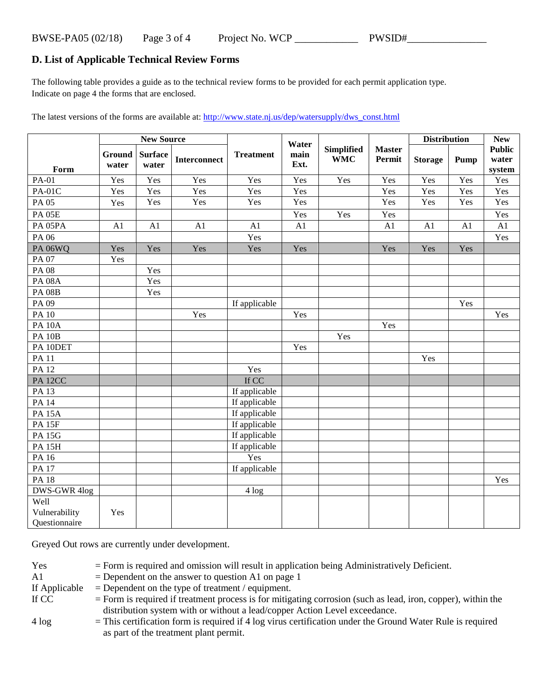# **D. List of Applicable Technical Review Forms**

The following table provides a guide as to the technical review forms to be provided for each permit application type. Indicate on page 4 the forms that are enclosed.

The latest versions of the forms are available at[: http://www.state.nj.us/dep/watersupply/dws\\_const.html](http://www.state.nj.us/dep/watersupply/dws_const.html)

|                     |                 | <b>New Source</b>       |              |                  | Water        |                                 |                         | <b>Distribution</b> |      | <b>New</b>                       |
|---------------------|-----------------|-------------------------|--------------|------------------|--------------|---------------------------------|-------------------------|---------------------|------|----------------------------------|
| Form                | Ground<br>water | <b>Surface</b><br>water | Interconnect | <b>Treatment</b> | main<br>Ext. | <b>Simplified</b><br><b>WMC</b> | <b>Master</b><br>Permit | <b>Storage</b>      | Pump | <b>Public</b><br>water<br>system |
| <b>PA-01</b>        | Yes             | Yes                     | Yes          | Yes              | Yes          | Yes                             | Yes                     | Yes                 | Yes  | Yes                              |
| <b>PA-01C</b>       | Yes             | Yes                     | Yes          | Yes              | Yes          |                                 | Yes                     | Yes                 | Yes  | Yes                              |
| PA 05               | Yes             | Yes                     | Yes          | Yes              | Yes          |                                 | Yes                     | Yes                 | Yes  | Yes                              |
| <b>PA 05E</b>       |                 |                         |              |                  | Yes          | Yes                             | Yes                     |                     |      | Yes                              |
| PA <sub>05PA</sub>  | A1              | A1                      | A1           | A1               | A1           |                                 | A1                      | A1                  | A1   | A1                               |
| PA 06               |                 |                         |              | Yes              |              |                                 |                         |                     |      | Yes                              |
| <b>PA 06WQ</b>      | Yes             | Yes                     | Yes          | Yes              | Yes          |                                 | Yes                     | Yes                 | Yes  |                                  |
| PA 07               | Yes             |                         |              |                  |              |                                 |                         |                     |      |                                  |
| <b>PA08</b>         |                 | Yes                     |              |                  |              |                                 |                         |                     |      |                                  |
| <b>PA 08A</b>       |                 | Yes                     |              |                  |              |                                 |                         |                     |      |                                  |
| <b>PA 08B</b>       |                 | Yes                     |              |                  |              |                                 |                         |                     |      |                                  |
| PA 09               |                 |                         |              | If applicable    |              |                                 |                         |                     | Yes  |                                  |
| <b>PA 10</b>        |                 |                         | Yes          |                  | Yes          |                                 |                         |                     |      | Yes                              |
| <b>PA 10A</b>       |                 |                         |              |                  |              |                                 | Yes                     |                     |      |                                  |
| <b>PA 10B</b>       |                 |                         |              |                  |              | Yes                             |                         |                     |      |                                  |
| PA 10DET            |                 |                         |              |                  | Yes          |                                 |                         |                     |      |                                  |
| <b>PA11</b>         |                 |                         |              |                  |              |                                 |                         | Yes                 |      |                                  |
| <b>PA12</b>         |                 |                         |              | Yes              |              |                                 |                         |                     |      |                                  |
| PA <sub>12</sub> CC |                 |                         |              | If CC            |              |                                 |                         |                     |      |                                  |
| PA 13               |                 |                         |              | If applicable    |              |                                 |                         |                     |      |                                  |
| $PA$ 14             |                 |                         |              | If applicable    |              |                                 |                         |                     |      |                                  |
| <b>PA 15A</b>       |                 |                         |              | If applicable    |              |                                 |                         |                     |      |                                  |
| <b>PA 15F</b>       |                 |                         |              | If applicable    |              |                                 |                         |                     |      |                                  |
| <b>PA 15G</b>       |                 |                         |              | If applicable    |              |                                 |                         |                     |      |                                  |
| <b>PA 15H</b>       |                 |                         |              | If applicable    |              |                                 |                         |                     |      |                                  |
| PA 16               |                 |                         |              | Yes              |              |                                 |                         |                     |      |                                  |
| PA 17               |                 |                         |              | If applicable    |              |                                 |                         |                     |      |                                  |
| <b>PA18</b>         |                 |                         |              |                  |              |                                 |                         |                     |      | Yes                              |
| DWS-GWR 4log        |                 |                         |              | 4 log            |              |                                 |                         |                     |      |                                  |
| Well                |                 |                         |              |                  |              |                                 |                         |                     |      |                                  |
| Vulnerability       | Yes             |                         |              |                  |              |                                 |                         |                     |      |                                  |
| Questionnaire       |                 |                         |              |                  |              |                                 |                         |                     |      |                                  |

Greyed Out rows are currently under development.

| Yes           | $=$ Form is required and omission will result in application being Administratively Deficient.                 |
|---------------|----------------------------------------------------------------------------------------------------------------|
| A1            | $=$ Dependent on the answer to question A1 on page 1                                                           |
| If Applicable | $=$ Dependent on the type of treatment / equipment.                                                            |
| If CC         | $=$ Form is required if treatment process is for mitigating corrosion (such as lead, iron, copper), within the |
|               | distribution system with or without a lead/copper Action Level exceedance.                                     |
| $4 \log$      | $=$ This certification form is required if 4 log virus certification under the Ground Water Rule is required   |
|               | as part of the treatment plant permit.                                                                         |